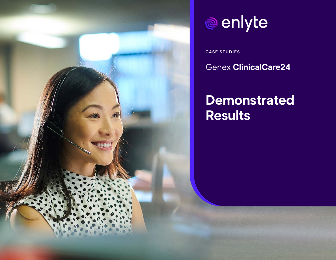

# enlyte

**CASE STUDIES**

Genex **ClinicalCare24**

## **Demonstrated Results**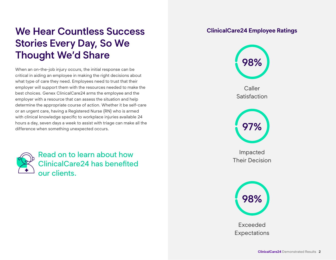### **We Hear Countless Success Stories Every Day, So We Thought We'd Share**

When an on-the-job injury occurs, the initial response can be critical in aiding an employee in making the right decisions about what type of care they need. Employees need to trust that their employer will support them with the resources needed to make the best choices. Genex ClinicalCare24 arms the employee and the employer with a resource that can assess the situation and help determine the appropriate course of action. Whether it be self-care or an urgent care, having a Registered Nurse (RN) who is armed with clinical knowledge specific to workplace injuries available 24 hours a day, seven days a week to assist with triage can make all the difference when something unexpected occurs.



Read on to learn about how ClinicalCare24 has benefited our clients.

#### **ClinicalCare24 Employee Ratings**



Exceeded **Expectations**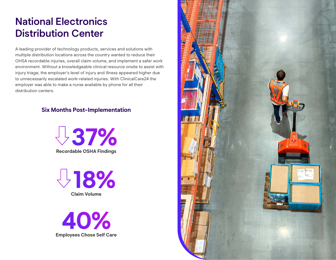### **National Electronics Distribution Center**

A leading provider of technology products, services and solutions with multiple distribution locations across the country wanted to reduce their OHSA recordable injuries, overall claim volume, and implement a safer work environment. Without a knowledgeable clinical resource onsite to assist with injury triage, the employer's level of injury and illness appeared higher due to unnecessarily escalated work-related injuries. With ClinicalCare24 the employer was able to make a nurse available by phone for all their distribution centers.

#### **Six Months Post-Implementation**



**Claim Volume 18%**

**Employees Chose Self Care 40%**

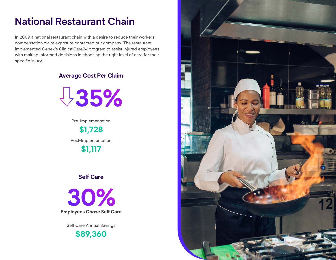### **National Restaurant Chain**

In 2009 a national restaurant chain with a desire to reduce their workers' compensation claim exposure contacted our company. The restaurant implemented Genex's ClinicalCare24 program to assist injured employees with making informed decisions in choosing the right level of care for their specific injury.

#### **Average Cost Per Claim**



Pre-Implementation **\$1,728** Post-Implementation

**\$1,117**

#### **Self Care**

**Employees Chose Self Care 30%**

Self Care Annual Savings

**\$89,360**

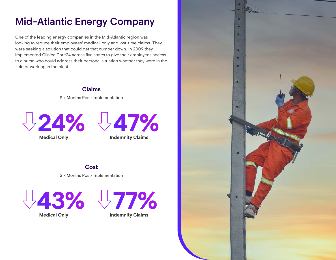### **Mid-Atlantic Energy Company**

One of the leading energy companies in the Mid-Atlantic region was looking to reduce their employees' medical-only and lost-time claims. They were seeking a solution that could get that number down. In 2009 they implemented ClinicalCare24 across five states to give their employees access to a nurse who could address their personal situation whether they were in the field or working in the plant.

#### **Claims**  Six Months Post-Implementation





**Medical Only**



Six Months Post-Implementation



**Medical Only**



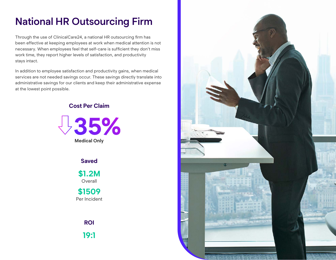### **National HR Outsourcing Firm**

Through the use of ClinicalCare24, a national HR outsourcing firm has been effective at keeping employees at work when medical attention is not necessary. When employees feel that self-care is sufficient they don't miss work time, they report higher levels of satisfaction, and productivity stays intact.

In addition to employee satisfaction and productivity gains, when medical services are not needed savings occur. These savings directly translate into administrative savings for our clients and keep their administrative expense at the lowest point possible.

#### **Cost Per Claim**



**Saved**

**\$1.2M Overall** 

**\$1509** Per Incident

> **ROI 19:1**

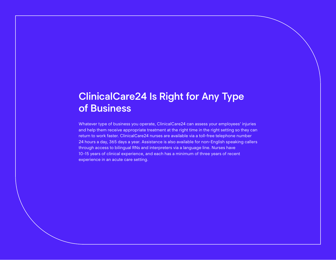### **ClinicalCare24 Is Right for Any Type of Business**

Whatever type of business you operate, ClinicalCare24 can assess your employees' injuries and help them receive appropriate treatment at the right time in the right setting so they can return to work faster. ClinicalCare24 nurses are available via a toll-free telephone number 24 hours a day, 365 days a year. Assistance is also available for non-English speaking callers through access to bilingual RNs and interpreters via a language line. Nurses have 10-15 years of clinical experience, and each has a minimum of three years of recent experience in an acute care setting.